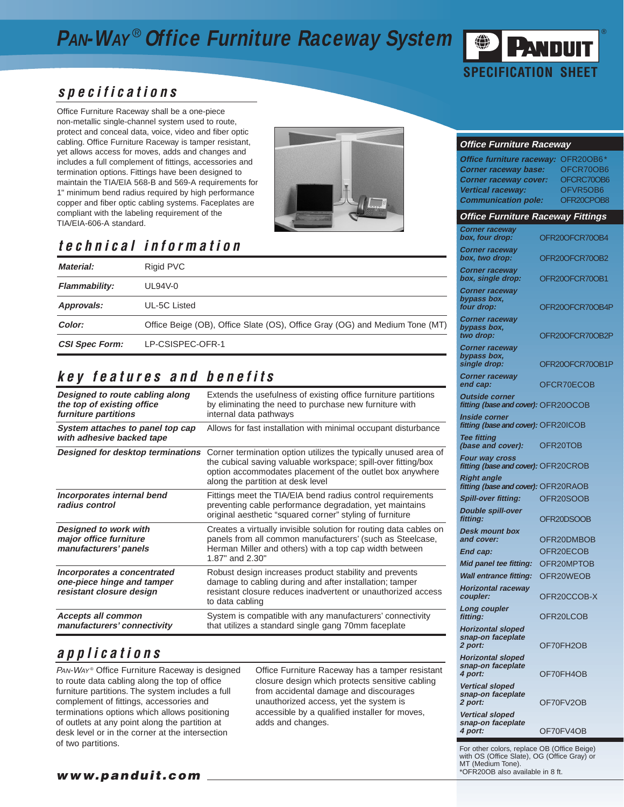## **PAN-WAY** ® **Office Furniture Raceway System**



#### **specifications**

Office Furniture Raceway shall be a one-piece non-metallic single-channel system used to route, protect and conceal data, voice, video and fiber optic cabling. Office Furniture Raceway is tamper resistant, yet allows access for moves, adds and changes and includes a full complement of fittings, accessories and termination options. Fittings have been designed to maintain the TIA/EIA 568-B and 569-A requirements for 1" minimum bend radius required by high performance copper and fiber optic cabling systems. Faceplates are compliant with the labeling requirement of the TIA/EIA-606-A standard.



## **technical information**

| Material:             | Rigid PVC                                                                   |  |
|-----------------------|-----------------------------------------------------------------------------|--|
| <b>Flammability:</b>  | $UL94V-0$                                                                   |  |
| Approvals:            | UL-5C Listed                                                                |  |
| Color:                | Office Beige (OB), Office Slate (OS), Office Gray (OG) and Medium Tone (MT) |  |
| <b>CSI Spec Form:</b> | LP-CSISPEC-OFR-1                                                            |  |

### **key features and benefits**

| Designed to route cabling along<br>the top of existing office<br>furniture partitions | Extends the usefulness of existing office furniture partitions<br>by eliminating the need to purchase new furniture with<br>internal data pathways                                                                                |  |
|---------------------------------------------------------------------------------------|-----------------------------------------------------------------------------------------------------------------------------------------------------------------------------------------------------------------------------------|--|
| System attaches to panel top cap<br>with adhesive backed tape                         | Allows for fast installation with minimal occupant disturbance                                                                                                                                                                    |  |
| Designed for desktop terminations                                                     | Corner termination option utilizes the typically unused area of<br>the cubical saving valuable workspace; spill-over fitting/box<br>option accommodates placement of the outlet box anywhere<br>along the partition at desk level |  |
| Incorporates internal bend<br>radius control                                          | Fittings meet the TIA/EIA bend radius control requirements<br>preventing cable performance degradation, yet maintains<br>original aesthetic "squared corner" styling of furniture                                                 |  |
| <b>Designed to work with</b><br>major office furniture<br>manufacturers' panels       | Creates a virtually invisible solution for routing data cables on<br>panels from all common manufacturers' (such as Steelcase,<br>Herman Miller and others) with a top cap width between<br>$1.87"$ and $2.30"$                   |  |
| Incorporates a concentrated<br>one-piece hinge and tamper<br>resistant closure design | Robust design increases product stability and prevents<br>damage to cabling during and after installation; tamper<br>resistant closure reduces inadvertent or unauthorized access<br>to data cabling                              |  |
| <b>Accepts all common</b><br>manufacturers' connectivity                              | System is compatible with any manufacturers' connectivity<br>that utilizes a standard single gang 70mm faceplate                                                                                                                  |  |

#### **applications**

PAN-WAY<sup>®</sup> Office Furniture Raceway is designed to route data cabling along the top of office furniture partitions. The system includes a full complement of fittings, accessories and terminations options which allows positioning of outlets at any point along the partition at desk level or in the corner at the intersection of two partitions.

Office Furniture Raceway has a tamper resistant closure design which protects sensitive cabling from accidental damage and discourages unauthorized access, yet the system is accessible by a qualified installer for moves, adds and changes.

#### **Office Furniture Raceway**

| Office furniture raceway:<br><b>Corner raceway base:</b><br><b>Corner raceway cover:</b><br><b>Vertical raceway:</b><br><b>Communication pole:</b> | OFR20OB6*<br>OFCR70OB6<br>OFCRC70OB6<br>OFVR5OB6<br>OFR20CPOB8 |
|----------------------------------------------------------------------------------------------------------------------------------------------------|----------------------------------------------------------------|
| <b>Office Furniture Raceway Fittings</b>                                                                                                           |                                                                |
| <b>Corner raceway</b><br>box, four drop:                                                                                                           | OFR20OFCR70OB4                                                 |
| <b>Corner raceway</b><br>box, two drop:                                                                                                            | OFR20OFCR70OB2                                                 |
| <b>Corner raceway</b><br>box, single drop:                                                                                                         | OFR20OFCR70OB1                                                 |
| <b>Corner raceway</b><br>bypass box,<br>four drop:                                                                                                 | OFR20OFCR70OB4P                                                |
| <b>Corner raceway</b><br>bypass box,<br>two drop:                                                                                                  | OFR20OFCR70OB2P                                                |
| <b>Corner raceway</b><br>bypass box,<br>single drop:                                                                                               | OFR20OFCR70OB1P                                                |
| <b>Corner raceway</b><br>end cap:                                                                                                                  | OFCR70ECOB                                                     |
| <b>Outside corner</b><br>fitting (base and cover): OFR20OCOB                                                                                       |                                                                |
| Inside corner<br>fitting (base and cover): OFR20ICOB<br><b>Tee fitting</b>                                                                         |                                                                |
| (base and cover):                                                                                                                                  | OFR20TOB                                                       |
| Four way cross<br>fitting (base and cover): OFR20CROB                                                                                              |                                                                |
| <b>Right angle</b><br>fitting (base and cover): OFR20RAOB                                                                                          |                                                                |
| <b>Spill-over fitting:</b>                                                                                                                         | OFR20SOOB                                                      |
| <b>Double spill-over</b><br>fitting:<br><b>Desk mount box</b>                                                                                      | OFR20DSOOB                                                     |
| and cover:                                                                                                                                         | OFR20DMBOB                                                     |
| End cap:                                                                                                                                           | OFR20ECOB                                                      |
| Mid panel tee fitting:                                                                                                                             | OFR20MPTOB                                                     |
| <b>Wall entrance fitting:</b>                                                                                                                      | OFR20WEOB                                                      |
| <b>Horizontal raceway</b><br>coupler:                                                                                                              | OFR20CCOB-X                                                    |
| <b>Long coupler</b><br>fitting:                                                                                                                    | OFR20LCOB                                                      |
| <b>Horizontal sloped</b><br>snap-on faceplate<br>2 port:                                                                                           | OF70FH2OB                                                      |
| <b>Horizontal sloped</b><br>snap-on faceplate<br>4 port:                                                                                           | OF70FH4OB                                                      |
| Vertical sloped<br>snap-on faceplate<br>2 port:                                                                                                    | OF70FV2OB                                                      |
| <b>Vertical sloped</b><br>snap-on faceplate<br>4 port:                                                                                             | OF70FV4OB                                                      |

For other colors, replace OB (Office Beige) with OS (Office Slate), OG (Office Gray) or MT (Medium Tone). \*OFR20OB also available in 8 ft.

**www.panduit.com**